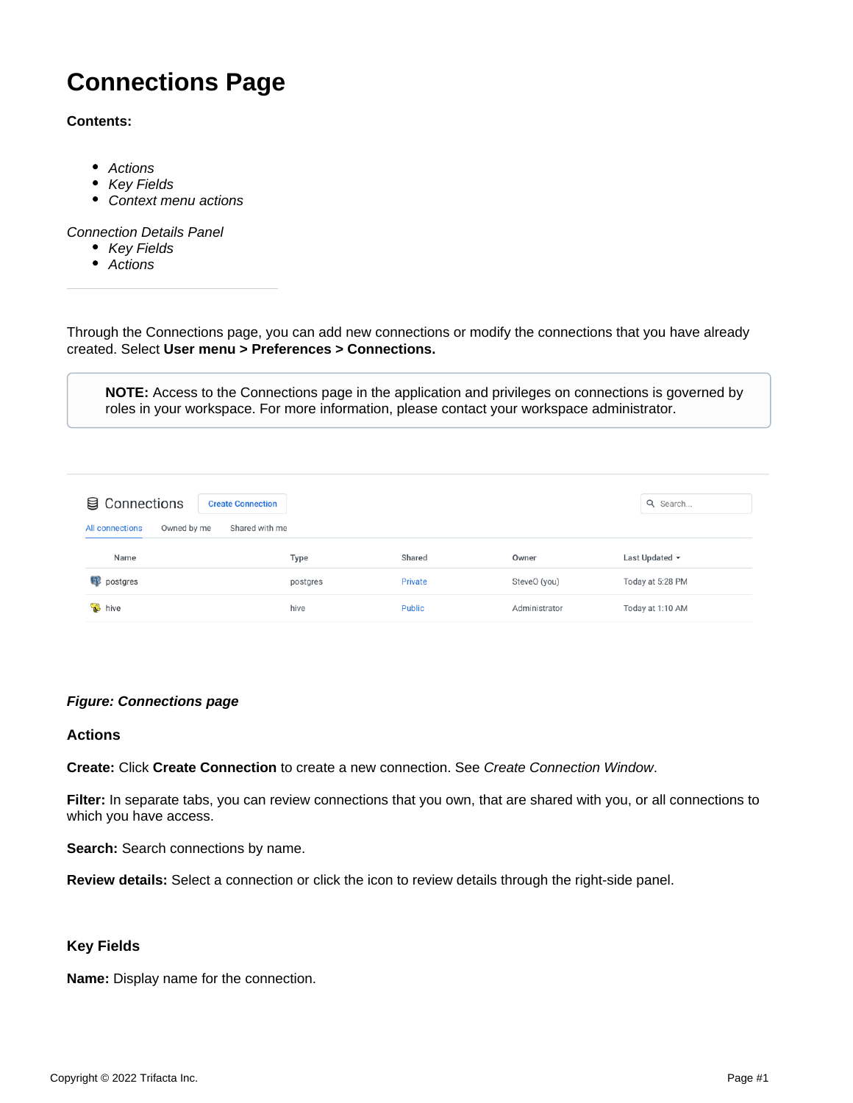# **Connections Page**

#### **Contents:**

- [Actions](#page-0-0)
- [Key Fields](#page-0-1)
- [Context menu actions](#page-1-0)

#### [Connection Details Panel](#page-1-1)

- [Key Fields](#page-2-0)
- [Actions](#page-2-1)

Through the Connections page, you can add new connections or modify the connections that you have already created. Select **User menu > Preferences > Connections.**

**NOTE:** Access to the Connections page in the application and privileges on connections is governed by roles in your workspace. For more information, please contact your workspace administrator.

| <b>图 Connections</b><br>Owned by me<br><b>All connections</b> | <b>Create Connection</b><br>Shared with me |          |         |               | Q Search            |
|---------------------------------------------------------------|--------------------------------------------|----------|---------|---------------|---------------------|
| Name                                                          |                                            | Type     | Shared  | Owner         | Last Updated $\sim$ |
| <b>D</b> postgres                                             |                                            | postgres | Private | SteveO (you)  | Today at 5:28 PM    |
| hive bive                                                     |                                            | hive     | Public  | Administrator | Today at 1:10 AM    |

## **Figure: Connections page**

#### <span id="page-0-0"></span>**Actions**

**Create:** Click **Create Connection** to create a new connection. See [Create Connection Window](https://docs.trifacta.com/display/r076/Create+Connection+Window).

**Filter:** In separate tabs, you can review connections that you own, that are shared with you, or all connections to which you have access.

Search: Search connections by name.

**Review details:** Select a connection or click the icon to review details through the right-side panel.

## <span id="page-0-1"></span>**Key Fields**

**Name:** Display name for the connection.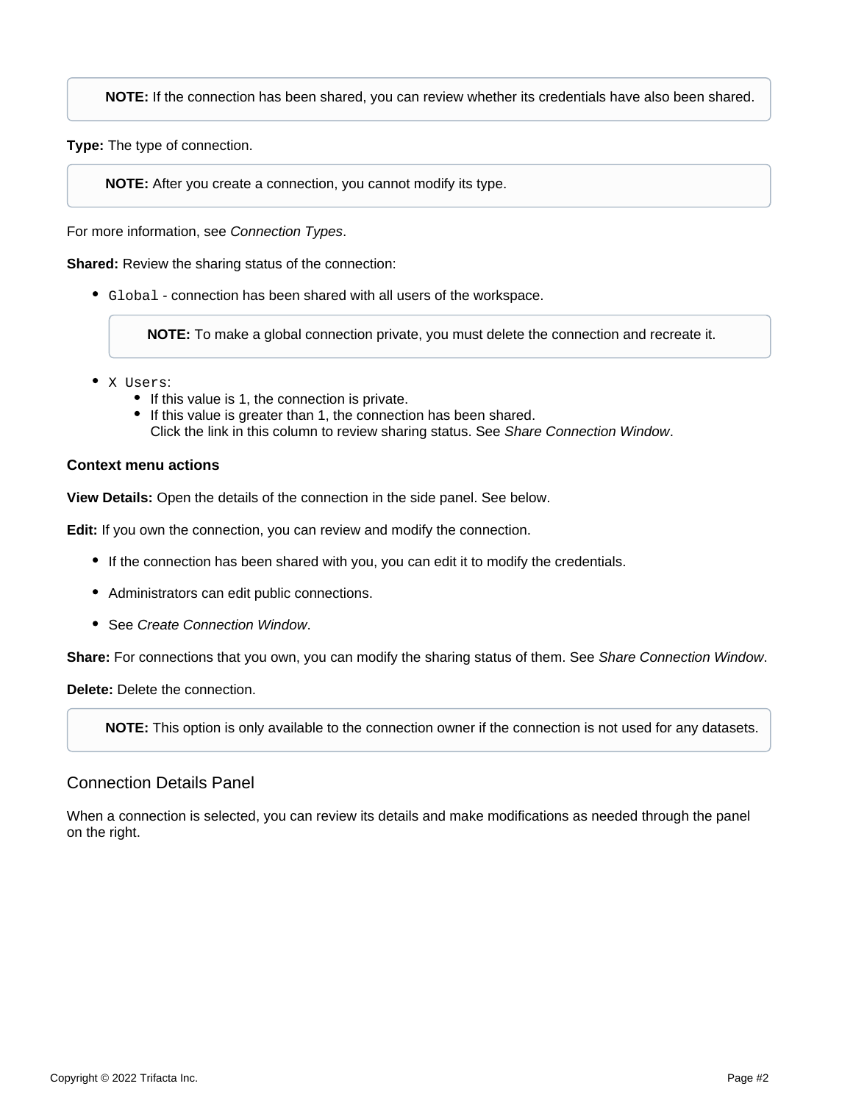**NOTE:** If the connection has been shared, you can review whether its credentials have also been shared.

**Type:** The type of connection.

**NOTE:** After you create a connection, you cannot modify its type.

For more information, see [Connection Types](https://docs.trifacta.com/display/r076/Connection+Types).

**Shared:** Review the sharing status of the connection:

Global - connection has been shared with all users of the workspace.

**NOTE:** To make a global connection private, you must delete the connection and recreate it.

- X Users:
	- If this value is 1, the connection is private.
	- If this value is greater than 1, the connection has been shared. Click the link in this column to review sharing status. See [Share Connection Window](https://docs.trifacta.com/display/r076/Share+Connection+Window).

#### <span id="page-1-0"></span>**Context menu actions**

**View Details:** Open the details of the connection in the side panel. See below.

**Edit:** If you own the connection, you can review and modify the connection.

- If the connection has been shared with you, you can edit it to modify the credentials.
- Administrators can edit public connections.
- See [Create Connection Window](https://docs.trifacta.com/display/r076/Create+Connection+Window).

**Share:** For connections that you own, you can modify the sharing status of them. See [Share Connection Window](https://docs.trifacta.com/display/r076/Share+Connection+Window).

**Delete:** Delete the connection.

**NOTE:** This option is only available to the connection owner if the connection is not used for any datasets.

## <span id="page-1-1"></span>Connection Details Panel

When a connection is selected, you can review its details and make modifications as needed through the panel on the right.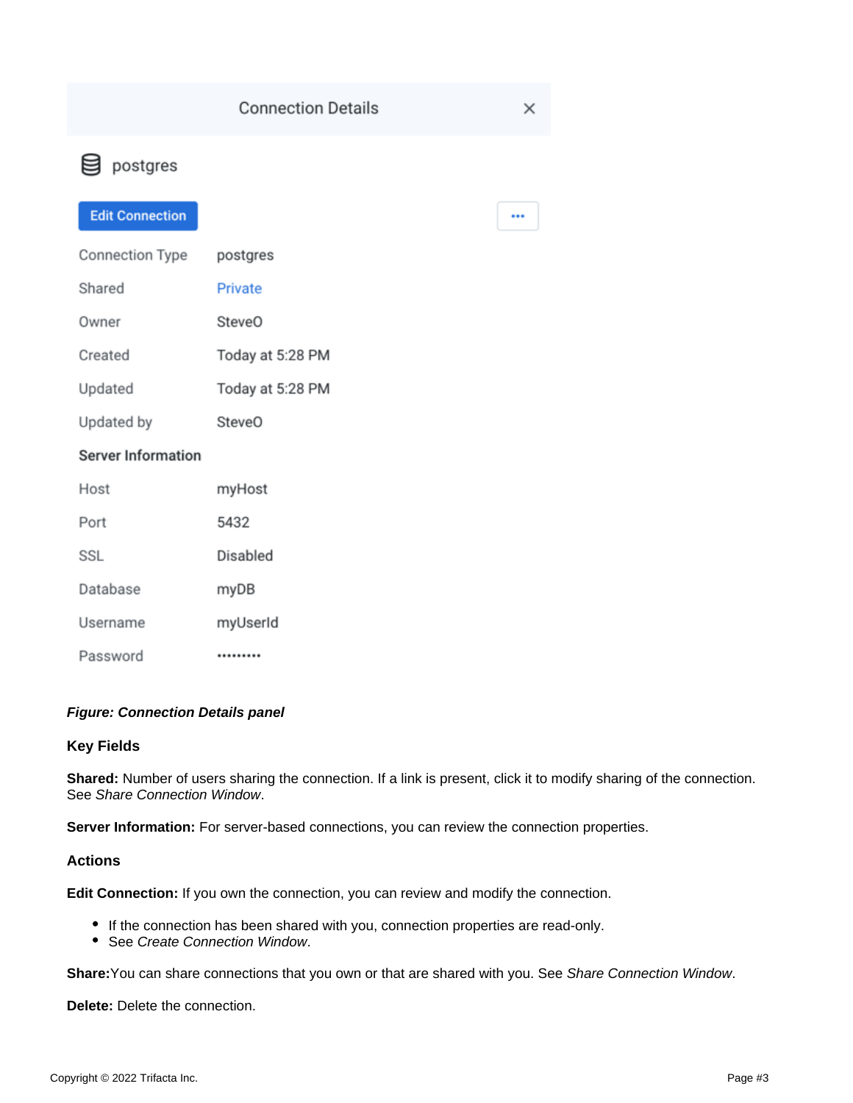...

# g postgres

# **Edit Connection**

| Connection Type           | postgres           |
|---------------------------|--------------------|
| Shared                    | Private            |
| Owner                     | Steve <sub>O</sub> |
| Created                   | Today at 5:28 PM   |
| Updated                   | Today at 5:28 PM   |
| Updated by                | Steve <sub>O</sub> |
| <b>Server Information</b> |                    |
| Host                      | myHost             |
| Port                      | 5432               |
| SSL                       | Disabled           |
| Database                  | myDB               |
|                           |                    |

myUserId

## Password .........

# **Figure: Connection Details panel**

## <span id="page-2-0"></span>**Key Fields**

Username

**Shared:** Number of users sharing the connection. If a link is present, click it to modify sharing of the connection. See [Share Connection Window](https://docs.trifacta.com/display/r076/Share+Connection+Window).

**Server Information:** For server-based connections, you can review the connection properties.

## <span id="page-2-1"></span>**Actions**

**Edit Connection:** If you own the connection, you can review and modify the connection.

- If the connection has been shared with you, connection properties are read-only.
- See [Create Connection Window](https://docs.trifacta.com/display/r076/Create+Connection+Window).

**Share:**You can share connections that you own or that are shared with you. See [Share Connection Window](https://docs.trifacta.com/display/r076/Share+Connection+Window).

**Delete:** Delete the connection.